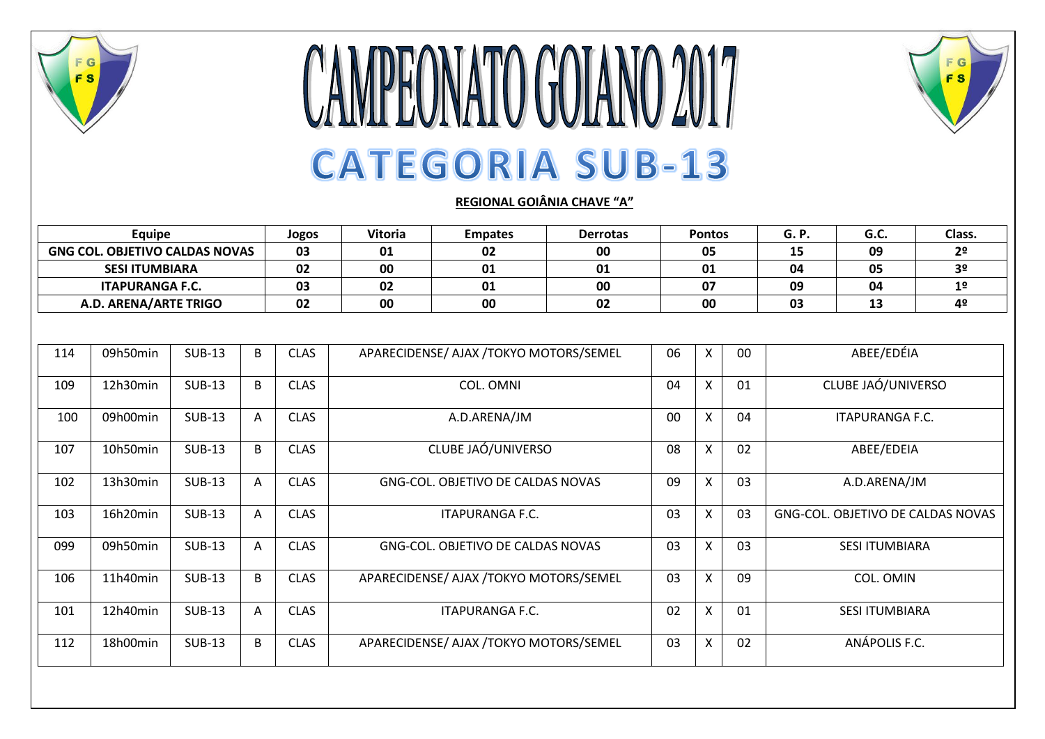

## CAMPEONATO GOIANO 2017 **CATEGORIA SUB-13**



## **REGIONAL GOIÂNIA CHAVE "A"**

| <b>Equipe</b>                         |          |               |   | Jogos       | <b>Vitoria</b><br><b>Empates</b><br><b>Derrotas</b> |    | <b>Pontos</b> |    |    | G. P. | G.C.                              | Class.         |                |
|---------------------------------------|----------|---------------|---|-------------|-----------------------------------------------------|----|---------------|----|----|-------|-----------------------------------|----------------|----------------|
| <b>GNG COL. OBJETIVO CALDAS NOVAS</b> |          |               |   | 03          | 01                                                  | 02 | 00            |    | 05 |       | 15                                | 09             | 2 <sup>o</sup> |
| <b>SESI ITUMBIARA</b>                 |          |               |   | 02          | 00                                                  | 01 | 01            |    | 01 |       | 04                                | 05             | 3 <sup>o</sup> |
| <b>ITAPURANGA F.C.</b>                |          |               |   | 03          | 02                                                  | 01 | 00            | 07 |    | 09    | 04                                | 1 <sup>°</sup> |                |
| A.D. ARENA/ARTE TRIGO                 |          |               |   | 02          | 00                                                  | 00 | 02            | 00 |    | 03    | 13                                | 4º             |                |
|                                       |          |               |   |             |                                                     |    |               |    |    |       |                                   |                |                |
| 114                                   | 09h50min | <b>SUB-13</b> | B | <b>CLAS</b> | 06<br>APARECIDENSE/ AJAX /TOKYO MOTORS/SEMEL        |    |               |    | X  | 00    | ABEE/EDÉIA                        |                |                |
| 109                                   | 12h30min | <b>SUB-13</b> | B | <b>CLAS</b> | COL. OMNI                                           |    |               |    | X  | 01    | CLUBE JAÓ/UNIVERSO                |                |                |
| 100                                   | 09h00min | <b>SUB-13</b> | Α | <b>CLAS</b> | A.D.ARENA/JM                                        |    |               | 00 | X  | 04    | <b>ITAPURANGA F.C.</b>            |                |                |
| 107                                   | 10h50min | <b>SUB-13</b> | B | <b>CLAS</b> | CLUBE JAÓ/UNIVERSO                                  |    |               | 08 | X  | 02    | ABEE/EDEIA                        |                |                |
| 102                                   | 13h30min | <b>SUB-13</b> | A | <b>CLAS</b> | GNG-COL. OBJETIVO DE CALDAS NOVAS                   |    |               | 09 | X  | 03    | A.D.ARENA/JM                      |                |                |
| 103                                   | 16h20min | <b>SUB-13</b> | A | <b>CLAS</b> | <b>ITAPURANGA F.C.</b>                              |    |               | 03 | X  | 03    | GNG-COL. OBJETIVO DE CALDAS NOVAS |                |                |
| 099                                   | 09h50min | <b>SUB-13</b> | A | <b>CLAS</b> | GNG-COL. OBJETIVO DE CALDAS NOVAS                   |    |               | 03 | X  | 03    | <b>SESI ITUMBIARA</b>             |                |                |
| 106                                   | 11h40min | <b>SUB-13</b> | B | <b>CLAS</b> | APARECIDENSE/ AJAX /TOKYO MOTORS/SEMEL              |    |               | 03 | X  | 09    | COL. OMIN                         |                |                |
| 101                                   | 12h40min | <b>SUB-13</b> | A | <b>CLAS</b> | <b>ITAPURANGA F.C.</b>                              |    |               | 02 | X  | 01    | <b>SESI ITUMBIARA</b>             |                |                |
| 112                                   | 18h00min | <b>SUB-13</b> | B | <b>CLAS</b> | APARECIDENSE/ AJAX /TOKYO MOTORS/SEMEL              |    |               | 03 | X  | 02    | ANÁPOLIS F.C.                     |                |                |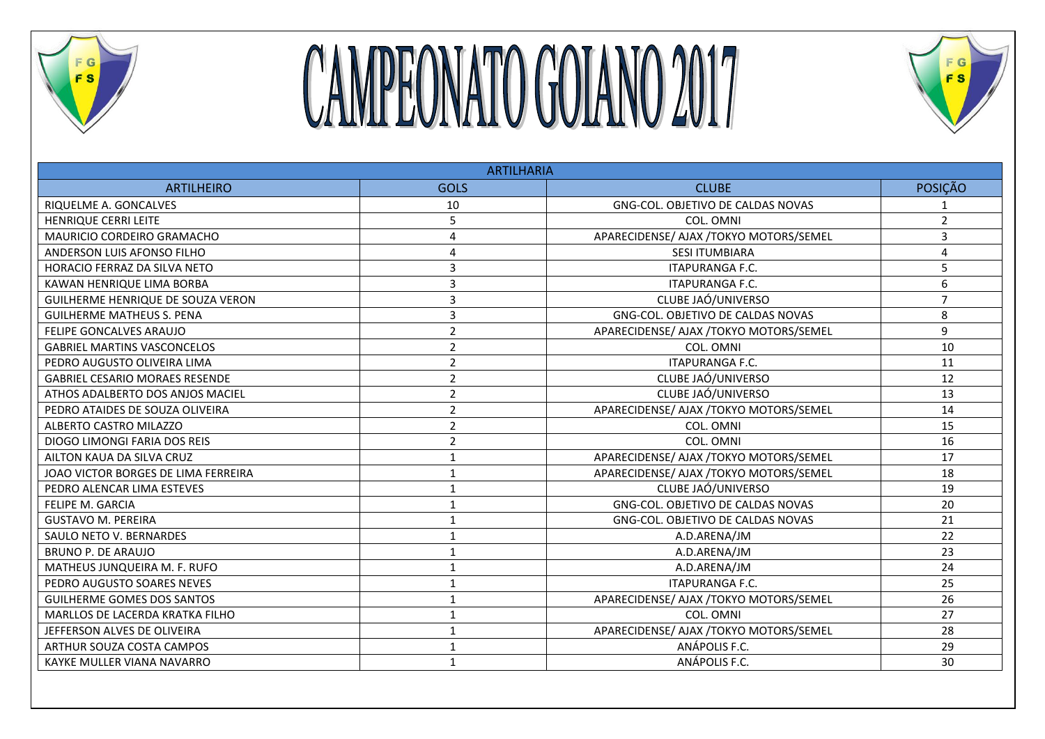

## CAMPEONATO GOIANO 2017



| <b>ARTILHARIA</b>                     |                |                                        |                |  |  |  |  |  |
|---------------------------------------|----------------|----------------------------------------|----------------|--|--|--|--|--|
| <b>ARTILHEIRO</b>                     | <b>GOLS</b>    | <b>CLUBE</b>                           | <b>POSICÃO</b> |  |  |  |  |  |
| RIQUELME A. GONCALVES                 | 10             | GNG-COL. OBJETIVO DE CALDAS NOVAS      |                |  |  |  |  |  |
| <b>HENRIQUE CERRI LEITE</b>           | 5              | COL. OMNI                              | $\overline{2}$ |  |  |  |  |  |
| MAURICIO CORDEIRO GRAMACHO            | 4              | APARECIDENSE/ AJAX /TOKYO MOTORS/SEMEL | 3              |  |  |  |  |  |
| ANDERSON LUIS AFONSO FILHO            | 4              | <b>SESI ITUMBIARA</b>                  | 4              |  |  |  |  |  |
| HORACIO FERRAZ DA SILVA NETO          | 3              | <b>ITAPURANGA F.C.</b>                 | 5              |  |  |  |  |  |
| KAWAN HENRIQUE LIMA BORBA             | 3              | <b>ITAPURANGA F.C.</b>                 | 6              |  |  |  |  |  |
| GUILHERME HENRIQUE DE SOUZA VERON     | 3              | CLUBE JAÓ/UNIVERSO                     | $\overline{7}$ |  |  |  |  |  |
| <b>GUILHERME MATHEUS S. PENA</b>      | 3              | GNG-COL. OBJETIVO DE CALDAS NOVAS      | 8              |  |  |  |  |  |
| FELIPE GONCALVES ARAUJO               | $\overline{2}$ | APARECIDENSE/ AJAX /TOKYO MOTORS/SEMEL | 9              |  |  |  |  |  |
| <b>GABRIEL MARTINS VASCONCELOS</b>    | $\overline{2}$ | COL. OMNI                              | 10             |  |  |  |  |  |
| PEDRO AUGUSTO OLIVEIRA LIMA           | $\overline{2}$ | <b>ITAPURANGA F.C.</b>                 | 11             |  |  |  |  |  |
| <b>GABRIEL CESARIO MORAES RESENDE</b> | $\overline{2}$ | CLUBE JAÓ/UNIVERSO                     | 12             |  |  |  |  |  |
| ATHOS ADALBERTO DOS ANJOS MACIEL      | $\overline{2}$ | CLUBE JAÓ/UNIVERSO                     | 13             |  |  |  |  |  |
| PEDRO ATAIDES DE SOUZA OLIVEIRA       | $\overline{2}$ | APARECIDENSE/ AJAX /TOKYO MOTORS/SEMEL | 14             |  |  |  |  |  |
| ALBERTO CASTRO MILAZZO                | $\overline{2}$ | COL. OMNI                              | 15             |  |  |  |  |  |
| DIOGO LIMONGI FARIA DOS REIS          | $\overline{2}$ | COL. OMNI                              | 16             |  |  |  |  |  |
| AILTON KAUA DA SILVA CRUZ             | $\mathbf{1}$   | APARECIDENSE/ AJAX /TOKYO MOTORS/SEMEL | 17             |  |  |  |  |  |
| JOAO VICTOR BORGES DE LIMA FERREIRA   | $\mathbf{1}$   | APARECIDENSE/ AJAX /TOKYO MOTORS/SEMEL | 18             |  |  |  |  |  |
| PEDRO ALENCAR LIMA ESTEVES            | $\mathbf{1}$   | CLUBE JAÓ/UNIVERSO                     | 19             |  |  |  |  |  |
| FELIPE M. GARCIA                      | $\mathbf{1}$   | GNG-COL. OBJETIVO DE CALDAS NOVAS      | 20             |  |  |  |  |  |
| <b>GUSTAVO M. PEREIRA</b>             | $\mathbf{1}$   | GNG-COL. OBJETIVO DE CALDAS NOVAS      | 21             |  |  |  |  |  |
| SAULO NETO V. BERNARDES               | $\mathbf{1}$   | A.D.ARENA/JM                           | 22             |  |  |  |  |  |
| <b>BRUNO P. DE ARAUJO</b>             | $\mathbf{1}$   | A.D.ARENA/JM                           | 23             |  |  |  |  |  |
| MATHEUS JUNQUEIRA M. F. RUFO          | $\mathbf{1}$   | A.D.ARENA/JM                           | 24             |  |  |  |  |  |
| PEDRO AUGUSTO SOARES NEVES            | $\mathbf{1}$   | <b>ITAPURANGA F.C.</b>                 | 25             |  |  |  |  |  |
| <b>GUILHERME GOMES DOS SANTOS</b>     | 1              | APARECIDENSE/ AJAX /TOKYO MOTORS/SEMEL | 26             |  |  |  |  |  |
| MARLLOS DE LACERDA KRATKA FILHO       | 1              | COL. OMNI                              | 27             |  |  |  |  |  |
| JEFFERSON ALVES DE OLIVEIRA           | 1              | APARECIDENSE/ AJAX /TOKYO MOTORS/SEMEL | 28             |  |  |  |  |  |
| ARTHUR SOUZA COSTA CAMPOS             | $\mathbf{1}$   | ANÁPOLIS F.C.                          | 29             |  |  |  |  |  |
| KAYKE MULLER VIANA NAVARRO            | 1              | ANÁPOLIS F.C.                          | 30             |  |  |  |  |  |